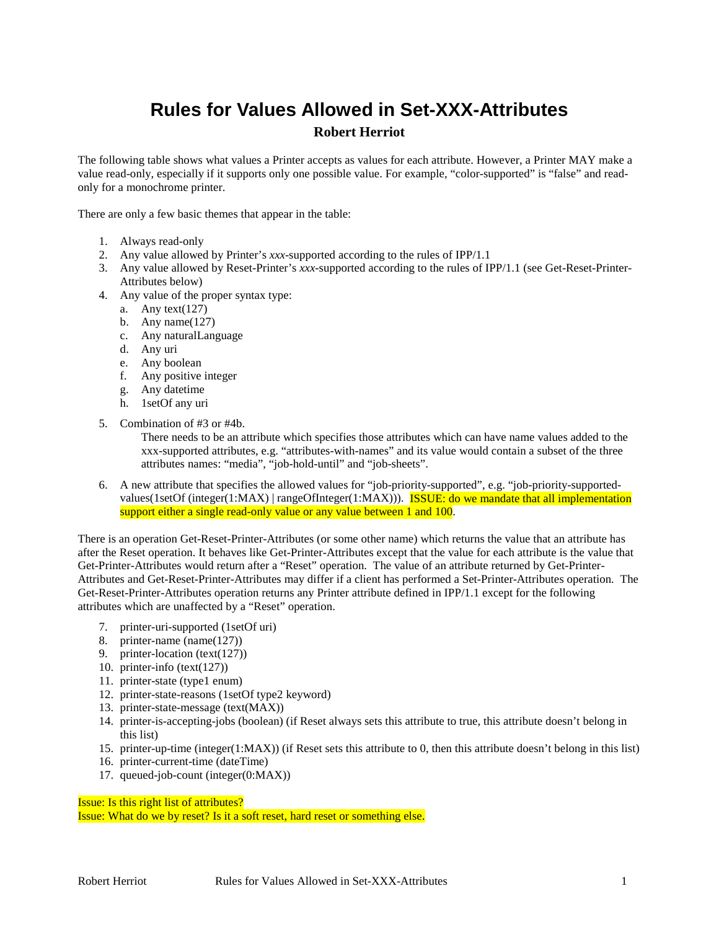## **Rules for Values Allowed in Set-XXX-Attributes Robert Herriot**

The following table shows what values a Printer accepts as values for each attribute. However, a Printer MAY make a value read-only, especially if it supports only one possible value. For example, "color-supported" is "false" and readonly for a monochrome printer.

There are only a few basic themes that appear in the table:

- 1. Always read-only
- 2. Any value allowed by Printer's *xxx*-supported according to the rules of IPP/1.1
- 3. Any value allowed by Reset-Printer's *xxx*-supported according to the rules of IPP/1.1 (see Get-Reset-Printer-Attributes below)
- 4. Any value of the proper syntax type:
	- a. Any text $(127)$
	- b. Any name $(127)$
	- c. Any naturalLanguage
	- d. Any uri
	- e. Any boolean
	- f. Any positive integer
	- g. Any datetime
	- h. 1setOf any uri
- 5. Combination of #3 or #4b.

There needs to be an attribute which specifies those attributes which can have name values added to the xxx-supported attributes, e.g. "attributes-with-names" and its value would contain a subset of the three attributes names: "media", "job-hold-until" and "job-sheets".

6. A new attribute that specifies the allowed values for "job-priority-supported", e.g. "job-priority-supportedvalues(1setOf (integer(1:MAX) | rangeOfInteger(1:MAX))). **ISSUE:** do we mandate that all implementation support either a single read-only value or any value between 1 and 100.

There is an operation Get-Reset-Printer-Attributes (or some other name) which returns the value that an attribute has after the Reset operation. It behaves like Get-Printer-Attributes except that the value for each attribute is the value that Get-Printer-Attributes would return after a "Reset" operation. The value of an attribute returned by Get-Printer-Attributes and Get-Reset-Printer-Attributes may differ if a client has performed a Set-Printer-Attributes operation. The Get-Reset-Printer-Attributes operation returns any Printer attribute defined in IPP/1.1 except for the following attributes which are unaffected by a "Reset" operation.

- 7. printer-uri-supported (1setOf uri)
- 8. printer-name (name(127))
- 9. printer-location (text(127))
- 10. printer-info (text(127))
- 11. printer-state (type1 enum)
- 12. printer-state-reasons (1setOf type2 keyword)
- 13. printer-state-message (text(MAX))
- 14. printer-is-accepting-jobs (boolean) (if Reset always sets this attribute to true, this attribute doesn't belong in this list)
- 15. printer-up-time (integer(1:MAX)) (if Reset sets this attribute to 0, then this attribute doesn't belong in this list)
- 16. printer-current-time (dateTime)
- 17. queued-job-count (integer(0:MAX))

Issue: Is this right list of attributes?

Issue: What do we by reset? Is it a soft reset, hard reset or something else.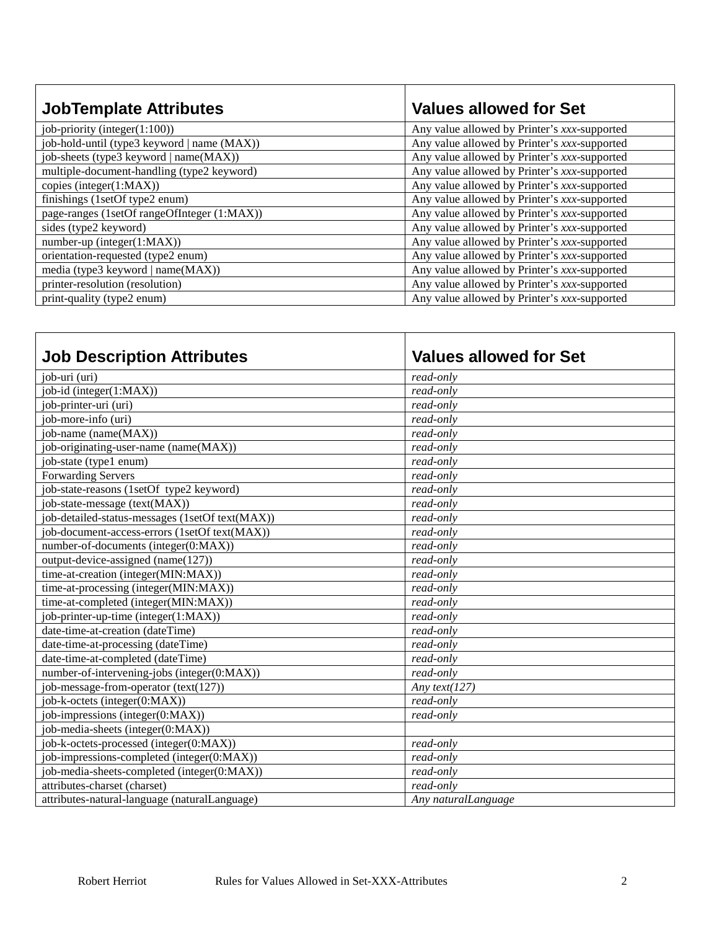| <b>JobTemplate Attributes</b>               | <b>Values allowed for Set</b>                |
|---------------------------------------------|----------------------------------------------|
| job-priority (integer(1:100))               | Any value allowed by Printer's xxx-supported |
| job-hold-until (type3 keyword   name (MAX)) | Any value allowed by Printer's xxx-supported |
| job-sheets (type3 keyword   name(MAX))      | Any value allowed by Printer's xxx-supported |
| multiple-document-handling (type2 keyword)  | Any value allowed by Printer's xxx-supported |
| copies (integer(1:MAX))                     | Any value allowed by Printer's xxx-supported |
| finishings (1setOf type2 enum)              | Any value allowed by Printer's xxx-supported |
| page-ranges (1setOf rangeOfInteger (1:MAX)) | Any value allowed by Printer's xxx-supported |
| sides (type2 keyword)                       | Any value allowed by Printer's xxx-supported |
| number-up (integer(1:MAX))                  | Any value allowed by Printer's xxx-supported |
| orientation-requested (type2 enum)          | Any value allowed by Printer's xxx-supported |
| media (type3 keyword   name(MAX))           | Any value allowed by Printer's xxx-supported |
| printer-resolution (resolution)             | Any value allowed by Printer's xxx-supported |
| print-quality (type2 enum)                  | Any value allowed by Printer's xxx-supported |

| <b>Job Description Attributes</b>               | <b>Values allowed for Set</b> |
|-------------------------------------------------|-------------------------------|
| job-uri (uri)                                   | read-only                     |
| job-id (integer(1:MAX))                         | read-only                     |
| job-printer-uri (uri)                           | read-only                     |
| job-more-info (uri)                             | read-only                     |
| job-name (name(MAX))                            | read-only                     |
| job-originating-user-name (name(MAX))           | read-only                     |
| job-state (type1 enum)                          | read-only                     |
| <b>Forwarding Servers</b>                       | read-only                     |
| job-state-reasons (1setOf type2 keyword)        | read-only                     |
| job-state-message (text(MAX))                   | read-only                     |
| job-detailed-status-messages (1setOf text(MAX)) | read-only                     |
| job-document-access-errors (1setOf text(MAX))   | read-only                     |
| number-of-documents (integer(0:MAX))            | read-only                     |
| output-device-assigned (name(127))              | read-only                     |
| time-at-creation (integer(MIN:MAX))             | read-only                     |
| time-at-processing (integer(MIN:MAX))           | read-only                     |
| time-at-completed (integer(MIN:MAX))            | read-only                     |
| job-printer-up-time (integer(1:MAX))            | read-only                     |
| date-time-at-creation (dateTime)                | read-only                     |
| date-time-at-processing (dateTime)              | read-only                     |
| date-time-at-completed (dateTime)               | read-only                     |
| number-of-intervening-jobs (integer(0:MAX))     | read-only                     |
| job-message-from-operator $(text(127))$         | Any text( $127$ )             |
| job-k-octets (integer(0:MAX))                   | read-only                     |
| job-impressions (integer(0:MAX))                | read-only                     |
| job-media-sheets (integer(0:MAX))               |                               |
| job-k-octets-processed (integer(0:MAX))         | read-only                     |
| job-impressions-completed (integer(0:MAX))      | read-only                     |
| job-media-sheets-completed (integer(0:MAX))     | read-only                     |
| attributes-charset (charset)                    | read-only                     |
| attributes-natural-language (naturalLanguage)   | Any naturalLanguage           |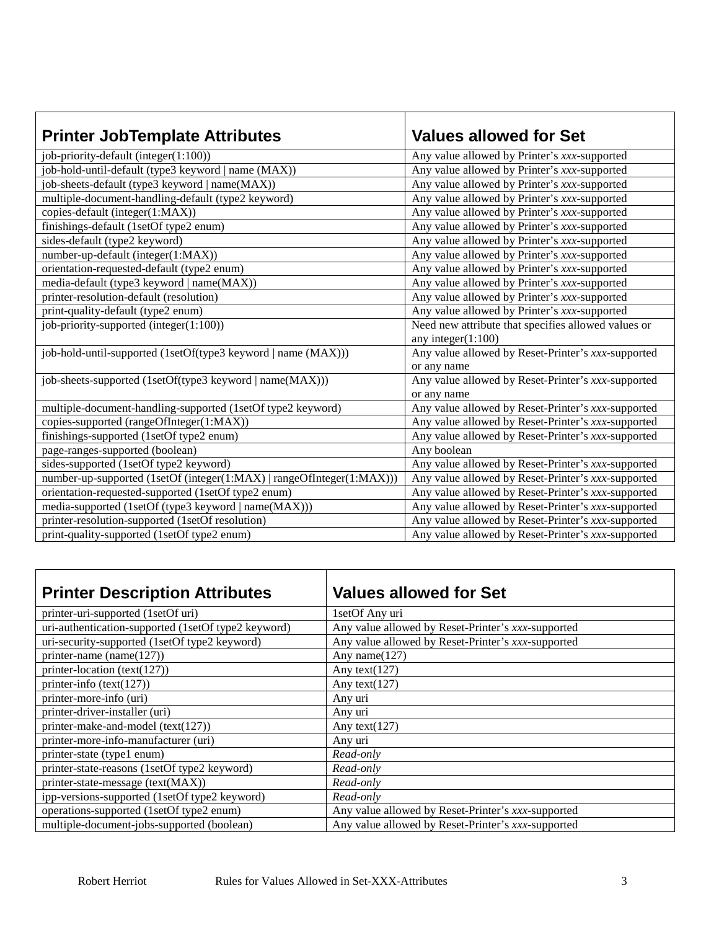| <b>Printer JobTemplate Attributes</b>                                 | <b>Values allowed for Set</b>                       |
|-----------------------------------------------------------------------|-----------------------------------------------------|
| job-priority-default (integer(1:100))                                 | Any value allowed by Printer's xxx-supported        |
| job-hold-until-default (type3 keyword   name (MAX))                   | Any value allowed by Printer's xxx-supported        |
| job-sheets-default (type3 keyword   name(MAX))                        | Any value allowed by Printer's xxx-supported        |
| multiple-document-handling-default (type2 keyword)                    | Any value allowed by Printer's xxx-supported        |
| copies-default (integer(1:MAX))                                       | Any value allowed by Printer's xxx-supported        |
| finishings-default (1setOf type2 enum)                                | Any value allowed by Printer's xxx-supported        |
| sides-default (type2 keyword)                                         | Any value allowed by Printer's xxx-supported        |
| number-up-default (integer(1:MAX))                                    | Any value allowed by Printer's xxx-supported        |
| orientation-requested-default (type2 enum)                            | Any value allowed by Printer's xxx-supported        |
| media-default (type3 keyword   name(MAX))                             | Any value allowed by Printer's xxx-supported        |
| printer-resolution-default (resolution)                               | Any value allowed by Printer's xxx-supported        |
| print-quality-default (type2 enum)                                    | Any value allowed by Printer's xxx-supported        |
| job-priority-supported (integer(1:100))                               | Need new attribute that specifies allowed values or |
|                                                                       | any integer $(1:100)$                               |
| job-hold-until-supported (1setOf(type3 keyword   name (MAX)))         | Any value allowed by Reset-Printer's xxx-supported  |
|                                                                       | or any name                                         |
| job-sheets-supported (1setOf(type3 keyword   name(MAX)))              | Any value allowed by Reset-Printer's xxx-supported  |
|                                                                       | or any name                                         |
| multiple-document-handling-supported (1setOf type2 keyword)           | Any value allowed by Reset-Printer's xxx-supported  |
| copies-supported (rangeOfInteger(1:MAX))                              | Any value allowed by Reset-Printer's xxx-supported  |
| finishings-supported (1setOf type2 enum)                              | Any value allowed by Reset-Printer's xxx-supported  |
| page-ranges-supported (boolean)                                       | Any boolean                                         |
| sides-supported (1setOf type2 keyword)                                | Any value allowed by Reset-Printer's xxx-supported  |
| number-up-supported (1setOf (integer(1:MAX)   rangeOfInteger(1:MAX))) | Any value allowed by Reset-Printer's xxx-supported  |
| orientation-requested-supported (1setOf type2 enum)                   | Any value allowed by Reset-Printer's xxx-supported  |
| media-supported (1setOf (type3 keyword   name(MAX)))                  | Any value allowed by Reset-Printer's xxx-supported  |
| printer-resolution-supported (1setOf resolution)                      | Any value allowed by Reset-Printer's xxx-supported  |
| print-quality-supported (1setOf type2 enum)                           | Any value allowed by Reset-Printer's xxx-supported  |

| <b>Printer Description Attributes</b>               | <b>Values allowed for Set</b>                      |
|-----------------------------------------------------|----------------------------------------------------|
| printer-uri-supported (1setOf uri)                  | 1setOf Any uri                                     |
| uri-authentication-supported (1setOf type2 keyword) | Any value allowed by Reset-Printer's xxx-supported |
| uri-security-supported (1setOf type2 keyword)       | Any value allowed by Reset-Printer's xxx-supported |
| printer-name (name $(127)$ )                        | Any name $(127)$                                   |
| printer-location (text(127))                        | Any text $(127)$                                   |
| printer-info $(text(127))$                          | Any text $(127)$                                   |
| printer-more-info (uri)                             | Any uri                                            |
| printer-driver-installer (uri)                      | Any uri                                            |
| printer-make-and-model (text(127))                  | Any text( $127$ )                                  |
| printer-more-info-manufacturer (uri)                | Any uri                                            |
| printer-state (type1 enum)                          | Read-only                                          |
| printer-state-reasons (1setOf type2 keyword)        | Read-only                                          |
| printer-state-message (text(MAX))                   | Read-only                                          |
| ipp-versions-supported (1setOf type2 keyword)       | Read-only                                          |
| operations-supported (1setOf type2 enum)            | Any value allowed by Reset-Printer's xxx-supported |
| multiple-document-jobs-supported (boolean)          | Any value allowed by Reset-Printer's xxx-supported |

Г